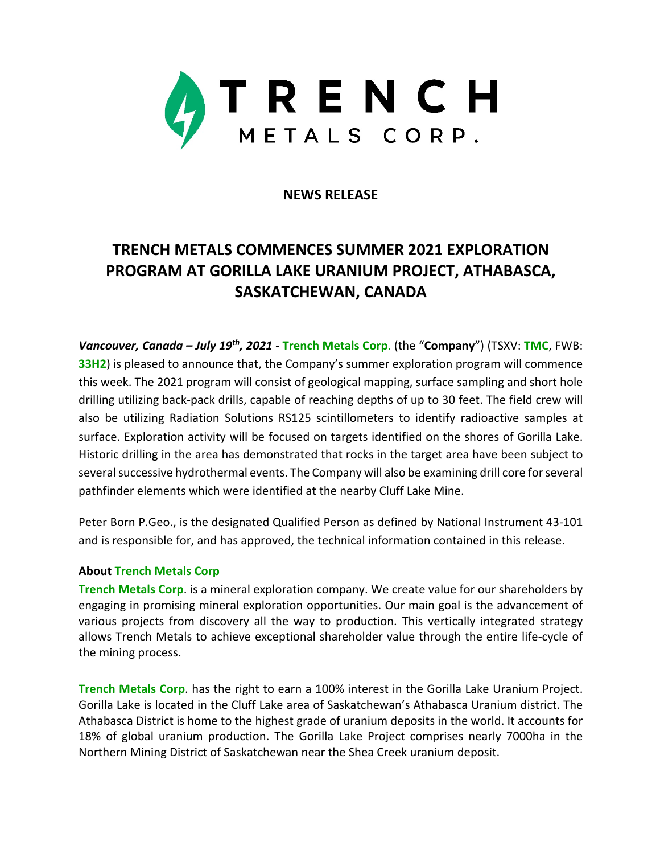

## **NEWS RELEASE**

## **TRENCH METALS COMMENCES SUMMER 2021 EXPLORATION PROGRAM AT GORILLA LAKE URANIUM PROJECT, ATHABASCA, SASKATCHEWAN, CANADA**

*Vancouver, Canada – July 19th, 2021 -* **Trench Metals Corp**. (the "**Company**") (TSXV: **TMC**, FWB: **33H2**) is pleased to announce that, the Company's summer exploration program will commence this week. The 2021 program will consist of geological mapping, surface sampling and short hole drilling utilizing back-pack drills, capable of reaching depths of up to 30 feet. The field crew will also be utilizing Radiation Solutions RS125 scintillometers to identify radioactive samples at surface. Exploration activity will be focused on targets identified on the shores of Gorilla Lake. Historic drilling in the area has demonstrated that rocks in the target area have been subject to several successive hydrothermal events. The Company will also be examining drill core for several pathfinder elements which were identified at the nearby Cluff Lake Mine.

Peter Born P.Geo., is the designated Qualified Person as defined by National Instrument 43-101 and is responsible for, and has approved, the technical information contained in this release.

## **About Trench Metals Corp**

**Trench Metals Corp**. is a mineral exploration company. We create value for our shareholders by engaging in promising mineral exploration opportunities. Our main goal is the advancement of various projects from discovery all the way to production. This vertically integrated strategy allows Trench Metals to achieve exceptional shareholder value through the entire life-cycle of the mining process.

**Trench Metals Corp**. has the right to earn a 100% interest in the Gorilla Lake Uranium Project. Gorilla Lake is located in the Cluff Lake area of Saskatchewan's Athabasca Uranium district. The Athabasca District is home to the highest grade of uranium deposits in the world. It accounts for 18% of global uranium production. The Gorilla Lake Project comprises nearly 7000ha in the Northern Mining District of Saskatchewan near the Shea Creek uranium deposit.